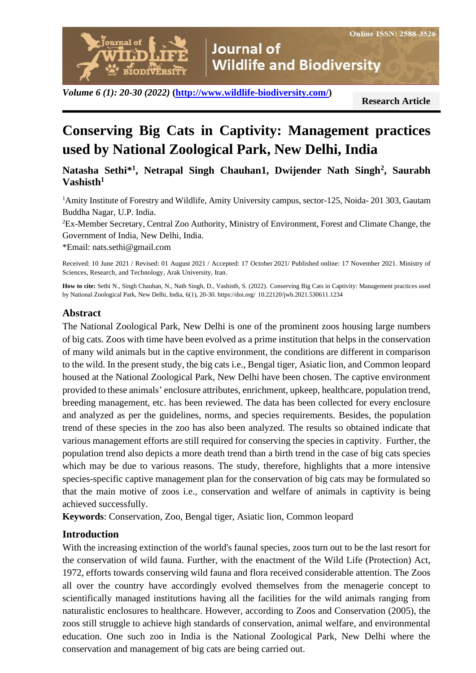**Journal of Wildlife and Biodiversity** 

*Volume 6 (1): 20-30 (2022)* **[\(http://www.wildlife-biodiversity.com/\)](http://www.wildlife-biodiversity.com/)**

**Research Article**

# **Conserving Big Cats in Captivity: Management practices used by National Zoological Park, New Delhi, India**

**Natasha Sethi\*<sup>1</sup> , Netrapal Singh Chauhan1, Dwijender Nath Singh<sup>2</sup> , Saurabh Vashisth<sup>1</sup>**

<sup>1</sup>Amity Institute of Forestry and Wildlife, Amity University campus, sector-125, Noida-201 303, Gautam Buddha Nagar, U.P. India.

<sup>2</sup>Ex-Member Secretary, Central Zoo Authority, Ministry of Environment, Forest and Climate Change, the Government of India, New Delhi, India.

\*Email: nats.sethi@gmail.com

urnal of

BIODIVERSITY

Received: 10 June 2021 / Revised: 01 August 2021 / Accepted: 17 October 2021/ Published online: 17 November 2021. Ministry of Sciences, Research, and Technology, Arak University, Iran.

**How to cite:** Sethi N., Singh Chauhan, N., Nath Singh, D., Vashisth, S. (2022). Conserving Big Cats in Captivity: Management practices used by National Zoological Park, New Delhi, India, 6(1), 20-30. https://doi.org/ 10.22120/jwb.2021.530611.1234

#### **Abstract**

The National Zoological Park, New Delhi is one of the prominent zoos housing large numbers of big cats. Zoos with time have been evolved as a prime institution that helps in the conservation of many wild animals but in the captive environment, the conditions are different in comparison to the wild. In the present study, the big cats i.e., Bengal tiger, Asiatic lion, and Common leopard housed at the National Zoological Park, New Delhi have been chosen. The captive environment provided to these animals' enclosure attributes, enrichment, upkeep, healthcare, population trend, breeding management, etc. has been reviewed. The data has been collected for every enclosure and analyzed as per the guidelines, norms, and species requirements. Besides, the population trend of these species in the zoo has also been analyzed. The results so obtained indicate that various management efforts are still required for conserving the species in captivity. Further, the population trend also depicts a more death trend than a birth trend in the case of big cats species which may be due to various reasons. The study, therefore, highlights that a more intensive species-specific captive management plan for the conservation of big cats may be formulated so that the main motive of zoos i.e., conservation and welfare of animals in captivity is being achieved successfully.

**Keywords**: Conservation, Zoo, Bengal tiger, Asiatic lion, Common leopard

## **Introduction**

With the increasing extinction of the world's faunal species, zoos turn out to be the last resort for the conservation of wild fauna. Further, with the enactment of the Wild Life (Protection) Act, 1972, efforts towards conserving wild fauna and flora received considerable attention. The Zoos all over the country have accordingly evolved themselves from the menagerie concept to scientifically managed institutions having all the facilities for the wild animals ranging from naturalistic enclosures to healthcare. However, according to Zoos and Conservation (2005), the zoos still struggle to achieve high standards of conservation, animal welfare, and environmental education. One such zoo in India is the National Zoological Park, New Delhi where the conservation and management of big cats are being carried out.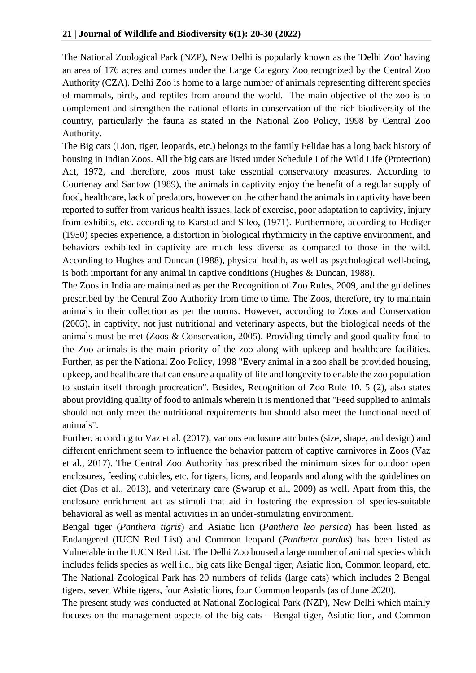The National Zoological Park (NZP), New Delhi is popularly known as the 'Delhi Zoo' having an area of 176 acres and comes under the Large Category Zoo recognized by the Central Zoo Authority (CZA). Delhi Zoo is home to a large number of animals representing different species of mammals, birds, and reptiles from around the world. The main objective of the zoo is to complement and strengthen the national efforts in conservation of the rich biodiversity of the country, particularly the fauna as stated in the National Zoo Policy, 1998 by Central Zoo Authority.

The Big cats (Lion, tiger, leopards, etc.) belongs to the family Felidae has a long back history of housing in Indian Zoos. All the big cats are listed under Schedule I of the Wild Life (Protection) Act, 1972, and therefore, zoos must take essential conservatory measures. According to Courtenay and Santow (1989), the animals in captivity enjoy the benefit of a regular supply of food, healthcare, lack of predators, however on the other hand the animals in captivity have been reported to suffer from various health issues, lack of exercise, poor adaptation to captivity, injury from exhibits, etc. according to Karstad and Sileo, (1971). Furthermore, according to Hediger (1950) species experience, a distortion in biological rhythmicity in the captive environment, and behaviors exhibited in captivity are much less diverse as compared to those in the wild. According to Hughes and Duncan (1988), physical health, as well as psychological well-being, is both important for any animal in captive conditions (Hughes & Duncan, 1988).

The Zoos in India are maintained as per the Recognition of Zoo Rules, 2009, and the guidelines prescribed by the Central Zoo Authority from time to time. The Zoos, therefore, try to maintain animals in their collection as per the norms. However, according to Zoos and Conservation (2005), in captivity, not just nutritional and veterinary aspects, but the biological needs of the animals must be met (Zoos & Conservation, 2005). Providing timely and good quality food to the Zoo animals is the main priority of the zoo along with upkeep and healthcare facilities. Further, as per the National Zoo Policy, 1998 "Every animal in a zoo shall be provided housing, upkeep, and healthcare that can ensure a quality of life and longevity to enable the zoo population to sustain itself through procreation". Besides, Recognition of Zoo Rule 10. 5 (2), also states about providing quality of food to animals wherein it is mentioned that "Feed supplied to animals should not only meet the nutritional requirements but should also meet the functional need of animals".

Further, according to Vaz et al. (2017), various enclosure attributes (size, shape, and design) and different enrichment seem to influence the behavior pattern of captive carnivores in Zoos (Vaz et al., 2017). The Central Zoo Authority has prescribed the minimum sizes for outdoor open enclosures, feeding cubicles, etc. for tigers, lions, and leopards and along with the guidelines on diet (Das et al., 2013), and veterinary care (Swarup et al., 2009) as well. Apart from this, the enclosure enrichment act as stimuli that aid in fostering the expression of species-suitable behavioral as well as mental activities in an under-stimulating environment.

Bengal tiger (*Panthera tigris*) and Asiatic lion (*Panthera leo persica*) has been listed as Endangered (IUCN Red List) and Common leopard (*Panthera pardus*) has been listed as Vulnerable in the IUCN Red List. The Delhi Zoo housed a large number of animal species which includes felids species as well i.e., big cats like Bengal tiger, Asiatic lion, Common leopard, etc. The National Zoological Park has 20 numbers of felids (large cats) which includes 2 Bengal tigers, seven White tigers, four Asiatic lions, four Common leopards (as of June 2020).

The present study was conducted at National Zoological Park (NZP), New Delhi which mainly focuses on the management aspects of the big cats – Bengal tiger, Asiatic lion, and Common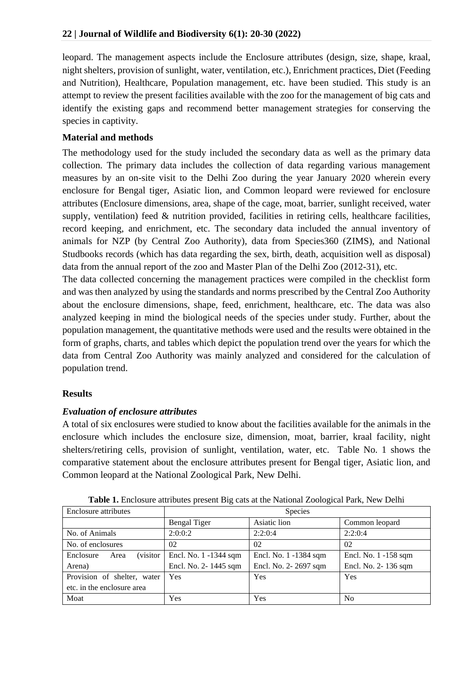leopard. The management aspects include the Enclosure attributes (design, size, shape, kraal, night shelters, provision of sunlight, water, ventilation, etc.), Enrichment practices, Diet (Feeding and Nutrition), Healthcare, Population management, etc. have been studied. This study is an attempt to review the present facilities available with the zoo for the management of big cats and identify the existing gaps and recommend better management strategies for conserving the species in captivity.

# **Material and methods**

The methodology used for the study included the secondary data as well as the primary data collection. The primary data includes the collection of data regarding various management measures by an on-site visit to the Delhi Zoo during the year January 2020 wherein every enclosure for Bengal tiger, Asiatic lion, and Common leopard were reviewed for enclosure attributes (Enclosure dimensions, area, shape of the cage, moat, barrier, sunlight received, water supply, ventilation) feed & nutrition provided, facilities in retiring cells, healthcare facilities, record keeping, and enrichment, etc. The secondary data included the annual inventory of animals for NZP (by Central Zoo Authority), data from Species360 (ZIMS), and National Studbooks records (which has data regarding the sex, birth, death, acquisition well as disposal) data from the annual report of the zoo and Master Plan of the Delhi Zoo (2012-31), etc.

The data collected concerning the management practices were compiled in the checklist form and was then analyzed by using the standards and norms prescribed by the Central Zoo Authority about the enclosure dimensions, shape, feed, enrichment, healthcare, etc. The data was also analyzed keeping in mind the biological needs of the species under study. Further, about the population management, the quantitative methods were used and the results were obtained in the form of graphs, charts, and tables which depict the population trend over the years for which the data from Central Zoo Authority was mainly analyzed and considered for the calculation of population trend.

# **Results**

# *Evaluation of enclosure attributes*

A total of six enclosures were studied to know about the facilities available for the animals in the enclosure which includes the enclosure size, dimension, moat, barrier, kraal facility, night shelters/retiring cells, provision of sunlight, ventilation, water, etc. Table No. 1 shows the comparative statement about the enclosure attributes present for Bengal tiger, Asiatic lion, and Common leopard at the National Zoological Park, New Delhi.

| Enclosure attributes                  | <b>Species</b>        |                       |                      |  |
|---------------------------------------|-----------------------|-----------------------|----------------------|--|
|                                       | <b>Bengal Tiger</b>   | Asiatic lion          | Common leopard       |  |
| No. of Animals                        | 2:0:0:2               | 2:2:0:4               | 2:2:0:4              |  |
| No. of enclosures                     | 02                    | 02                    | 02                   |  |
| <i>(visitor)</i><br>Enclosure<br>Area | Encl. No. 1 -1344 sqm | Encl. No. 1 -1384 sqm | Encl. No. 1 -158 sqm |  |
| Arena)                                | Encl. No. 2-1445 sqm  | Encl. No. 2-2697 sqm  | Encl. No. 2-136 sqm  |  |
| Provision of shelter, water           | Yes                   | Yes                   | Yes                  |  |
| etc. in the enclosure area            |                       |                       |                      |  |
| Moat                                  | Yes                   | Yes                   | N <sub>0</sub>       |  |

**Table 1.** Enclosure attributes present Big cats at the National Zoological Park, New Delhi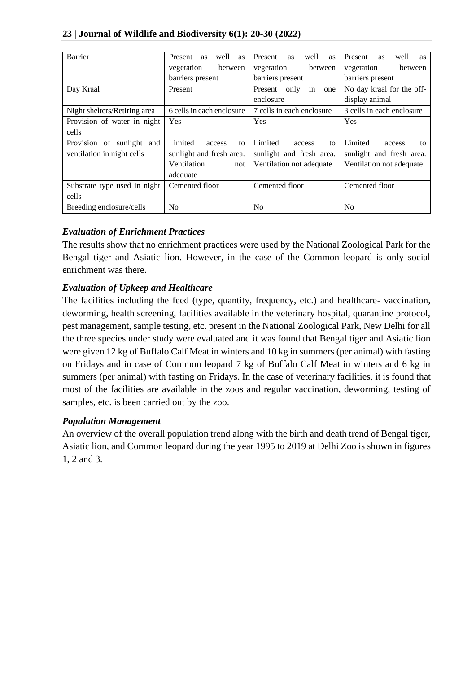## **23 | Journal of Wildlife and Biodiversity 6(1): 20-30 (2022)**

| <b>Barrier</b>               | Present<br>well<br>as<br>as | well<br>Present<br><b>as</b><br>as | Present<br>well<br><b>as</b><br><b>as</b> |
|------------------------------|-----------------------------|------------------------------------|-------------------------------------------|
|                              | between<br>vegetation       | vegetation<br>between              | between<br>vegetation                     |
|                              | barriers present            | barriers present                   | barriers present                          |
| Day Kraal                    | Present                     | Present<br>only<br>in<br>one       | No day kraal for the off-                 |
|                              |                             | enclosure                          | display animal                            |
| Night shelters/Retiring area | 6 cells in each enclosure   | 7 cells in each enclosure          | 3 cells in each enclosure                 |
| Provision of water in night  | Yes                         | Yes                                | Yes                                       |
| cells                        |                             |                                    |                                           |
| Provision of sunlight and    | Limited<br>to<br>access     | Limited<br>to<br>access            | Limited<br>access<br>to                   |
| ventilation in night cells   | sunlight and fresh area.    | sunlight and fresh area.           | sunlight and fresh area.                  |
|                              | Ventilation<br>not          | Ventilation not adequate           | Ventilation not adequate                  |
|                              | adequate                    |                                    |                                           |
| Substrate type used in night | Cemented floor              | Cemented floor                     | Cemented floor                            |
| cells                        |                             |                                    |                                           |
| Breeding enclosure/cells     | No                          | N <sub>0</sub>                     | N <sub>o</sub>                            |

## *Evaluation of Enrichment Practices*

The results show that no enrichment practices were used by the National Zoological Park for the Bengal tiger and Asiatic lion. However, in the case of the Common leopard is only social enrichment was there.

# *Evaluation of Upkeep and Healthcare*

The facilities including the feed (type, quantity, frequency, etc.) and healthcare- vaccination, deworming, health screening, facilities available in the veterinary hospital, quarantine protocol, pest management, sample testing, etc. present in the National Zoological Park, New Delhi for all the three species under study were evaluated and it was found that Bengal tiger and Asiatic lion were given 12 kg of Buffalo Calf Meat in winters and 10 kg in summers (per animal) with fasting on Fridays and in case of Common leopard 7 kg of Buffalo Calf Meat in winters and 6 kg in summers (per animal) with fasting on Fridays. In the case of veterinary facilities, it is found that most of the facilities are available in the zoos and regular vaccination, deworming, testing of samples, etc. is been carried out by the zoo.

## *Population Management*

An overview of the overall population trend along with the birth and death trend of Bengal tiger, Asiatic lion, and Common leopard during the year 1995 to 2019 at Delhi Zoo is shown in figures 1, 2 and 3.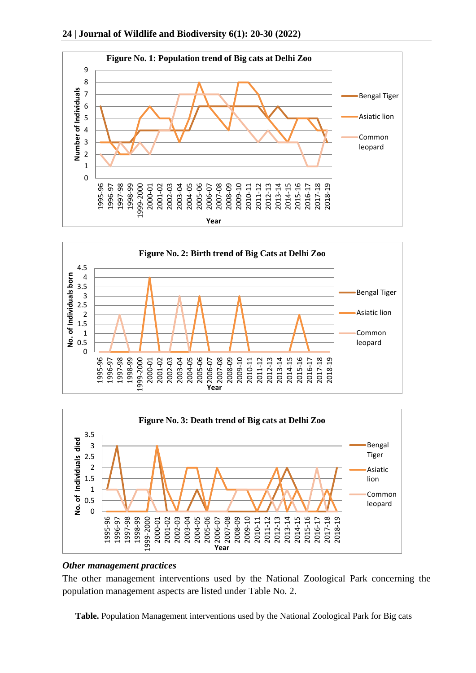





#### *Other management practices*

The other management interventions used by the National Zoological Park concerning the population management aspects are listed under Table No. 2.

**Table.** Population Management interventions used by the National Zoological Park for Big cats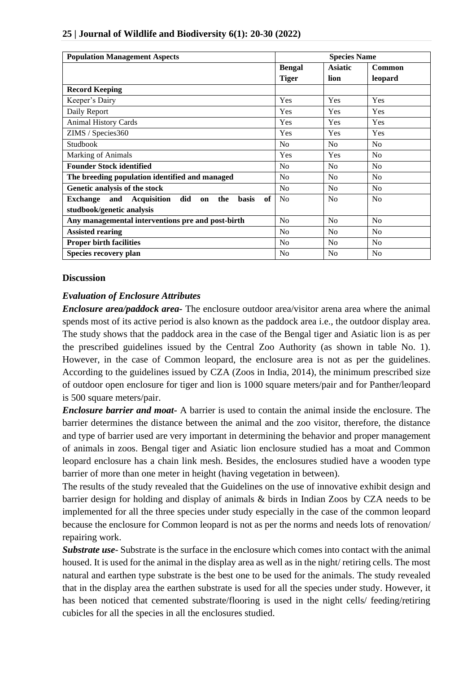| <b>Population Management Aspects</b>                                                   | <b>Species Name</b> |                |                |
|----------------------------------------------------------------------------------------|---------------------|----------------|----------------|
|                                                                                        | <b>Bengal</b>       | <b>Asiatic</b> | Common         |
|                                                                                        | <b>Tiger</b>        | lion           | leopard        |
| <b>Record Keeping</b>                                                                  |                     |                |                |
| Keeper's Dairy                                                                         | Yes                 | Yes            | Yes            |
| Daily Report                                                                           | Yes                 | Yes            | Yes            |
| <b>Animal History Cards</b>                                                            | Yes                 | Yes            | Yes            |
| ZIMS / Species360                                                                      | Yes                 | Yes            | Yes            |
| Studbook                                                                               | No                  | N <sub>o</sub> | No             |
| <b>Marking of Animals</b>                                                              | Yes                 | <b>Yes</b>     | No             |
| <b>Founder Stock identified</b>                                                        | No                  | No             | N <sub>o</sub> |
| The breeding population identified and managed                                         | No                  | No             | N <sub>0</sub> |
| Genetic analysis of the stock                                                          | No                  | No             | No             |
| of<br><b>Acquisition</b><br><b>basis</b><br>and<br>did<br>the<br><b>Exchange</b><br>on | N <sub>0</sub>      | N <sub>0</sub> | No             |
| studbook/genetic analysis                                                              |                     |                |                |
| Any managemental interventions pre and post-birth                                      | N <sub>o</sub>      | N <sub>o</sub> | N <sub>o</sub> |
| <b>Assisted rearing</b>                                                                | N <sub>0</sub>      | N <sub>0</sub> | N <sub>o</sub> |
| <b>Proper birth facilities</b>                                                         | N <sub>0</sub>      | N <sub>0</sub> | N <sub>0</sub> |
| Species recovery plan                                                                  | N <sub>o</sub>      | N <sub>o</sub> | N <sub>0</sub> |

#### **25 | Journal of Wildlife and Biodiversity 6(1): 20-30 (2022)**

#### **Discussion**

## *Evaluation of Enclosure Attributes*

*Enclosure area/paddock area-* The enclosure outdoor area/visitor arena area where the animal spends most of its active period is also known as the paddock area i.e., the outdoor display area. The study shows that the paddock area in the case of the Bengal tiger and Asiatic lion is as per the prescribed guidelines issued by the Central Zoo Authority (as shown in table No. 1). However, in the case of Common leopard, the enclosure area is not as per the guidelines. According to the guidelines issued by CZA (Zoos in India, 2014), the minimum prescribed size of outdoor open enclosure for tiger and lion is 1000 square meters/pair and for Panther/leopard is 500 square meters/pair.

*Enclosure barrier and moat-* A barrier is used to contain the animal inside the enclosure. The barrier determines the distance between the animal and the zoo visitor, therefore, the distance and type of barrier used are very important in determining the behavior and proper management of animals in zoos. Bengal tiger and Asiatic lion enclosure studied has a moat and Common leopard enclosure has a chain link mesh. Besides, the enclosures studied have a wooden type barrier of more than one meter in height (having vegetation in between).

The results of the study revealed that the Guidelines on the use of innovative exhibit design and barrier design for holding and display of animals & birds in Indian Zoos by CZA needs to be implemented for all the three species under study especially in the case of the common leopard because the enclosure for Common leopard is not as per the norms and needs lots of renovation/ repairing work.

*Substrate use*- Substrate is the surface in the enclosure which comes into contact with the animal housed. It is used for the animal in the display area as well as in the night/ retiring cells. The most natural and earthen type substrate is the best one to be used for the animals. The study revealed that in the display area the earthen substrate is used for all the species under study. However, it has been noticed that cemented substrate/flooring is used in the night cells/ feeding/retiring cubicles for all the species in all the enclosures studied.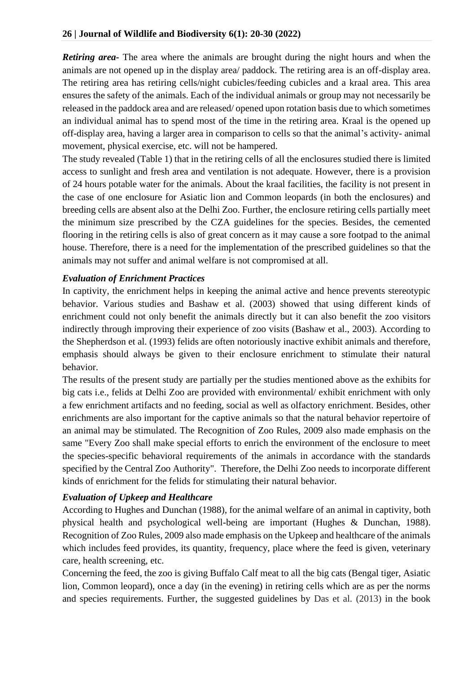*Retiring area-* The area where the animals are brought during the night hours and when the animals are not opened up in the display area/ paddock. The retiring area is an off-display area. The retiring area has retiring cells/night cubicles/feeding cubicles and a kraal area. This area ensures the safety of the animals. Each of the individual animals or group may not necessarily be released in the paddock area and are released/ opened upon rotation basis due to which sometimes an individual animal has to spend most of the time in the retiring area. Kraal is the opened up off-display area, having a larger area in comparison to cells so that the animal's activity- animal movement, physical exercise, etc. will not be hampered.

The study revealed (Table 1) that in the retiring cells of all the enclosures studied there is limited access to sunlight and fresh area and ventilation is not adequate. However, there is a provision of 24 hours potable water for the animals. About the kraal facilities, the facility is not present in the case of one enclosure for Asiatic lion and Common leopards (in both the enclosures) and breeding cells are absent also at the Delhi Zoo. Further, the enclosure retiring cells partially meet the minimum size prescribed by the CZA guidelines for the species. Besides, the cemented flooring in the retiring cells is also of great concern as it may cause a sore footpad to the animal house. Therefore, there is a need for the implementation of the prescribed guidelines so that the animals may not suffer and animal welfare is not compromised at all.

# *Evaluation of Enrichment Practices*

In captivity, the enrichment helps in keeping the animal active and hence prevents stereotypic behavior. Various studies and Bashaw et al. (2003) showed that using different kinds of enrichment could not only benefit the animals directly but it can also benefit the zoo visitors indirectly through improving their experience of zoo visits (Bashaw et al., 2003). According to the Shepherdson et al. (1993) felids are often notoriously inactive exhibit animals and therefore, emphasis should always be given to their enclosure enrichment to stimulate their natural behavior.

The results of the present study are partially per the studies mentioned above as the exhibits for big cats i.e., felids at Delhi Zoo are provided with environmental/ exhibit enrichment with only a few enrichment artifacts and no feeding, social as well as olfactory enrichment. Besides, other enrichments are also important for the captive animals so that the natural behavior repertoire of an animal may be stimulated. The Recognition of Zoo Rules, 2009 also made emphasis on the same "Every Zoo shall make special efforts to enrich the environment of the enclosure to meet the species-specific behavioral requirements of the animals in accordance with the standards specified by the Central Zoo Authority". Therefore, the Delhi Zoo needs to incorporate different kinds of enrichment for the felids for stimulating their natural behavior.

# *Evaluation of Upkeep and Healthcare*

According to Hughes and Dunchan (1988), for the animal welfare of an animal in captivity, both physical health and psychological well-being are important (Hughes & Dunchan, 1988). Recognition of Zoo Rules, 2009 also made emphasis on the Upkeep and healthcare of the animals which includes feed provides, its quantity, frequency, place where the feed is given, veterinary care, health screening, etc.

Concerning the feed, the zoo is giving Buffalo Calf meat to all the big cats (Bengal tiger, Asiatic lion, Common leopard), once a day (in the evening) in retiring cells which are as per the norms and species requirements. Further, the suggested guidelines by Das et al. (2013) in the book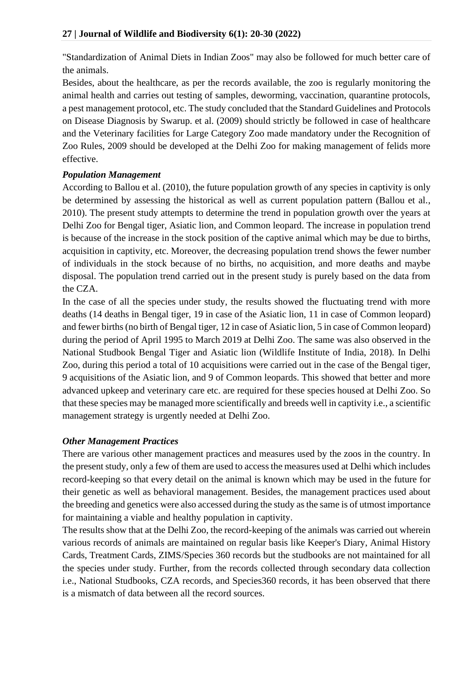"Standardization of Animal Diets in Indian Zoos" may also be followed for much better care of the animals.

Besides, about the healthcare, as per the records available, the zoo is regularly monitoring the animal health and carries out testing of samples, deworming, vaccination, quarantine protocols, a pest management protocol, etc. The study concluded that the Standard Guidelines and Protocols on Disease Diagnosis by Swarup. et al. (2009) should strictly be followed in case of healthcare and the Veterinary facilities for Large Category Zoo made mandatory under the Recognition of Zoo Rules, 2009 should be developed at the Delhi Zoo for making management of felids more effective.

# *Population Management*

According to Ballou et al. (2010), the future population growth of any species in captivity is only be determined by assessing the historical as well as current population pattern (Ballou et al., 2010). The present study attempts to determine the trend in population growth over the years at Delhi Zoo for Bengal tiger, Asiatic lion, and Common leopard. The increase in population trend is because of the increase in the stock position of the captive animal which may be due to births, acquisition in captivity, etc. Moreover, the decreasing population trend shows the fewer number of individuals in the stock because of no births, no acquisition, and more deaths and maybe disposal. The population trend carried out in the present study is purely based on the data from the CZA.

In the case of all the species under study, the results showed the fluctuating trend with more deaths (14 deaths in Bengal tiger, 19 in case of the Asiatic lion, 11 in case of Common leopard) and fewer births (no birth of Bengal tiger, 12 in case of Asiatic lion, 5 in case of Common leopard) during the period of April 1995 to March 2019 at Delhi Zoo. The same was also observed in the National Studbook Bengal Tiger and Asiatic lion (Wildlife Institute of India, 2018). In Delhi Zoo, during this period a total of 10 acquisitions were carried out in the case of the Bengal tiger, 9 acquisitions of the Asiatic lion, and 9 of Common leopards. This showed that better and more advanced upkeep and veterinary care etc. are required for these species housed at Delhi Zoo. So that these species may be managed more scientifically and breeds well in captivity i.e., a scientific management strategy is urgently needed at Delhi Zoo.

# *Other Management Practices*

There are various other management practices and measures used by the zoos in the country. In the present study, only a few of them are used to access the measures used at Delhi which includes record-keeping so that every detail on the animal is known which may be used in the future for their genetic as well as behavioral management. Besides, the management practices used about the breeding and genetics were also accessed during the study as the same is of utmost importance for maintaining a viable and healthy population in captivity.

The results show that at the Delhi Zoo, the record-keeping of the animals was carried out wherein various records of animals are maintained on regular basis like Keeper's Diary, Animal History Cards, Treatment Cards, ZIMS/Species 360 records but the studbooks are not maintained for all the species under study. Further, from the records collected through secondary data collection i.e., National Studbooks, CZA records, and Species360 records, it has been observed that there is a mismatch of data between all the record sources.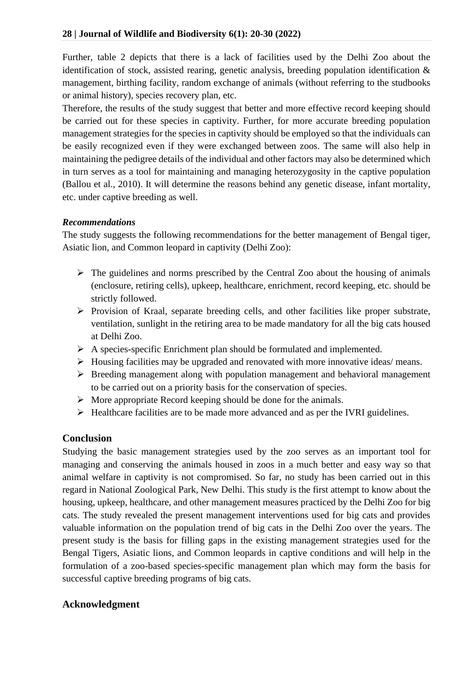## **28 | Journal of Wildlife and Biodiversity 6(1): 20-30 (2022)**

Further, table 2 depicts that there is a lack of facilities used by the Delhi Zoo about the identification of stock, assisted rearing, genetic analysis, breeding population identification & management, birthing facility, random exchange of animals (without referring to the studbooks or animal history), species recovery plan, etc.

Therefore, the results of the study suggest that better and more effective record keeping should be carried out for these species in captivity. Further, for more accurate breeding population management strategies for the species in captivity should be employed so that the individuals can be easily recognized even if they were exchanged between zoos. The same will also help in maintaining the pedigree details of the individual and other factors may also be determined which in turn serves as a tool for maintaining and managing heterozygosity in the captive population (Ballou et al., 2010). It will determine the reasons behind any genetic disease, infant mortality, etc. under captive breeding as well.

#### *Recommendations*

The study suggests the following recommendations for the better management of Bengal tiger, Asiatic lion, and Common leopard in captivity (Delhi Zoo):

- $\triangleright$  The guidelines and norms prescribed by the Central Zoo about the housing of animals (enclosure, retiring cells), upkeep, healthcare, enrichment, record keeping, etc. should be strictly followed.
- ➢ Provision of Kraal, separate breeding cells, and other facilities like proper substrate, ventilation, sunlight in the retiring area to be made mandatory for all the big cats housed at Delhi Zoo.
- ➢ A species-specific Enrichment plan should be formulated and implemented.
- ➢ Housing facilities may be upgraded and renovated with more innovative ideas/ means.
- ➢ Breeding management along with population management and behavioral management to be carried out on a priority basis for the conservation of species.
- ➢ More appropriate Record keeping should be done for the animals.
- ➢ Healthcare facilities are to be made more advanced and as per the IVRI guidelines.

## **Conclusion**

Studying the basic management strategies used by the zoo serves as an important tool for managing and conserving the animals housed in zoos in a much better and easy way so that animal welfare in captivity is not compromised. So far, no study has been carried out in this regard in National Zoological Park, New Delhi. This study is the first attempt to know about the housing, upkeep, healthcare, and other management measures practiced by the Delhi Zoo for big cats. The study revealed the present management interventions used for big cats and provides valuable information on the population trend of big cats in the Delhi Zoo over the years. The present study is the basis for filling gaps in the existing management strategies used for the Bengal Tigers, Asiatic lions, and Common leopards in captive conditions and will help in the formulation of a zoo-based species-specific management plan which may form the basis for successful captive breeding programs of big cats.

## **Acknowledgment**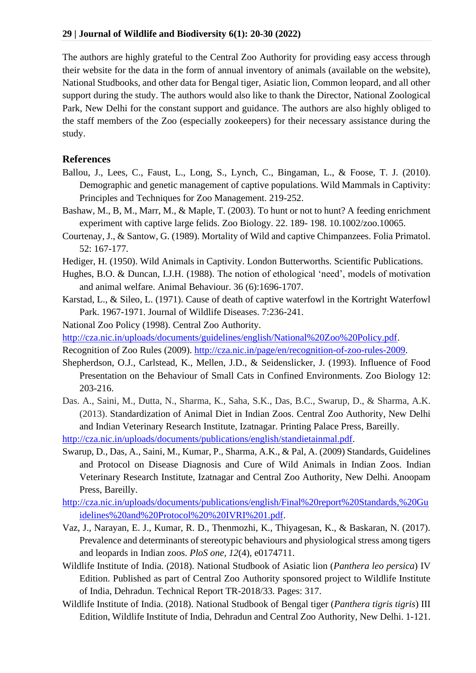The authors are highly grateful to the Central Zoo Authority for providing easy access through their website for the data in the form of annual inventory of animals (available on the website), National Studbooks, and other data for Bengal tiger, Asiatic lion, Common leopard, and all other support during the study. The authors would also like to thank the Director, National Zoological Park, New Delhi for the constant support and guidance. The authors are also highly obliged to the staff members of the Zoo (especially zookeepers) for their necessary assistance during the study.

#### **References**

- Ballou, J., Lees, C., Faust, L., Long, S., Lynch, C., Bingaman, L., & Foose, T. J. (2010). Demographic and genetic management of captive populations. Wild Mammals in Captivity: Principles and Techniques for Zoo Management. 219-252.
- Bashaw, M., B, M., Marr, M., & Maple, T. (2003). To hunt or not to hunt? A feeding enrichment experiment with captive large felids. Zoo Biology. 22. 189- 198. 10.1002/zoo.10065.
- Courtenay, J., & Santow, G. (1989). Mortality of Wild and captive Chimpanzees. Folia Primatol. 52: 167-177.
- <span id="page-9-0"></span>[Hediger, H.](#page-9-0) (1950). Wild Animals in Captivity. London Butterworths. Scientific Publications.
- Hughes, B.O. & Duncan, I.J.H. (1988). The notion of ethological 'need', models of motivation and animal welfare. Animal Behaviour. 36 (6):1696-1707.
- Karstad, L., & Sileo, L. (1971). Cause of death of captive waterfowl in the Kortright Waterfowl Park. 1967-1971. Journal of Wildlife Diseases. 7:236-241.
- National Zoo Policy (1998). Central Zoo Authority.
- [http://cza.nic.in/uploads/documents/guidelines/english/National%20Zoo%20Policy.pdf.](http://cza.nic.in/uploads/documents/guidelines/english/National%20Zoo%20Policy.pdf)

Recognition of Zoo Rules (2009). [http://cza.nic.in/page/en/recognition-of-zoo-rules-2009.](http://cza.nic.in/page/en/recognition-of-zoo-rules-2009)

- Shepherdson, O.J., Carlstead, K., Mellen, J.D., & Seidenslicker, J. (1993). Influence of Food Presentation on the Behaviour of Small Cats in Confined Environments. Zoo Biology 12: 203-216.
- Das. A., Saini, M., Dutta, N., Sharma, K., Saha, S.K., Das, B.C., Swarup, D., & Sharma, A.K. (2013). Standardization of Animal Diet in Indian Zoos. Central Zoo Authority, New Delhi and Indian Veterinary Research Institute, Izatnagar. Printing Palace Press, Bareilly.

[http://cza.nic.in/uploads/documents/publications/english/standietainmal.pdf.](http://cza.nic.in/uploads/documents/publications/english/standietainmal.pdf)

- Swarup, D., Das, A., Saini, M., Kumar, P., Sharma, A.K., & Pal, A. (2009) Standards, Guidelines and Protocol on Disease Diagnosis and Cure of Wild Animals in Indian Zoos. Indian Veterinary Research Institute, Izatnagar and Central Zoo Authority, New Delhi. Anoopam Press, Bareilly.
- [http://cza.nic.in/uploads/documents/publications/english/Final%20report%20Standards,%20Gu](http://cza.nic.in/uploads/documents/publications/english/Final%20report%20Standards,%20Guidelines%20and%20Protocol%20%20IVRI%201.pdf) [idelines%20and%20Protocol%20%20IVRI%201.pdf.](http://cza.nic.in/uploads/documents/publications/english/Final%20report%20Standards,%20Guidelines%20and%20Protocol%20%20IVRI%201.pdf)
- Vaz, J., Narayan, E. J., Kumar, R. D., Thenmozhi, K., Thiyagesan, K., & Baskaran, N. (2017). Prevalence and determinants of stereotypic behaviours and physiological stress among tigers and leopards in Indian zoos. *PloS one, 12*(4), e0174711.
- Wildlife Institute of India. (2018). National Studbook of Asiatic lion (*Panthera leo persica*) IV Edition. Published as part of Central Zoo Authority sponsored project to Wildlife Institute of India, Dehradun. Technical Report TR-2018/33. Pages: 317.
- Wildlife Institute of India. (2018). National Studbook of Bengal tiger (*Panthera tigris tigris*) III Edition, Wildlife Institute of India, Dehradun and Central Zoo Authority, New Delhi. 1-121.